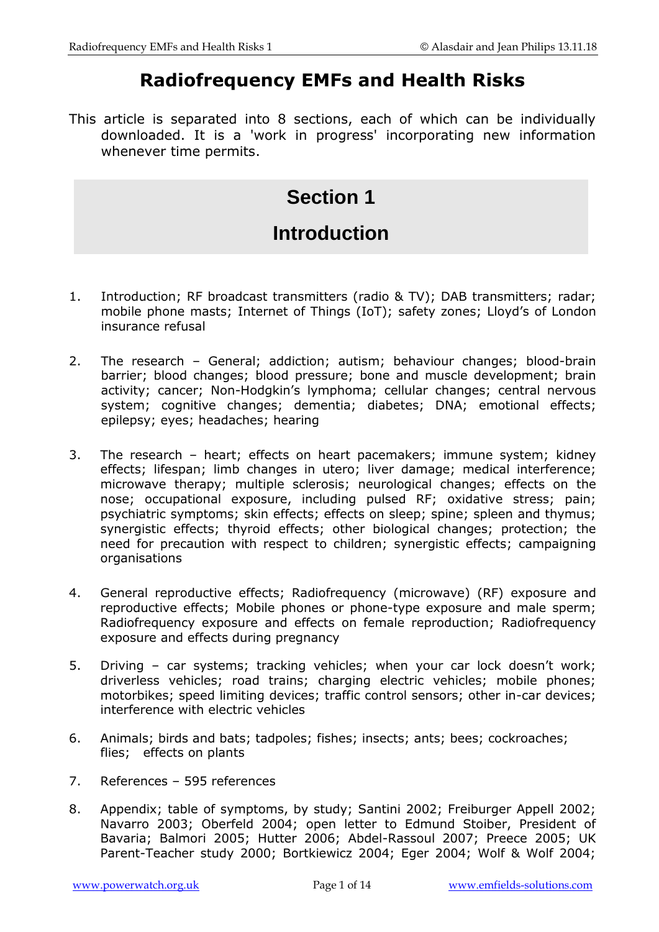# **Radiofrequency EMFs and Health Risks**

This article is separated into 8 sections, each of which can be individually downloaded. It is a 'work in progress' incorporating new information whenever time permits.

# **Section 1**

# **Introduction**

- 1. Introduction; RF broadcast transmitters (radio & TV); DAB transmitters; radar; mobile phone masts; Internet of Things (IoT); safety zones; Lloyd's of London insurance refusal
- 2. The research General; addiction; autism; behaviour changes; blood-brain barrier; blood changes; blood pressure; bone and muscle development; brain activity; cancer; Non-Hodgkin's lymphoma; cellular changes; central nervous system; cognitive changes; dementia; diabetes; DNA; emotional effects; epilepsy; eyes; headaches; hearing
- 3. The research heart; effects on heart pacemakers; immune system; kidney effects; lifespan; limb changes in utero; liver damage; medical interference; microwave therapy; multiple sclerosis; neurological changes; effects on the nose; occupational exposure, including pulsed RF; oxidative stress; pain; psychiatric symptoms; skin effects; effects on sleep; spine; spleen and thymus; synergistic effects; thyroid effects; other biological changes; protection; the need for precaution with respect to children; synergistic effects; campaigning organisations
- 4. General reproductive effects; Radiofrequency (microwave) (RF) exposure and reproductive effects; Mobile phones or phone-type exposure and male sperm; Radiofrequency exposure and effects on female reproduction; Radiofrequency exposure and effects during pregnancy
- 5. Driving car systems; tracking vehicles; when your car lock doesn't work; driverless vehicles; road trains; charging electric vehicles; mobile phones; motorbikes; speed limiting devices; traffic control sensors; other in-car devices; interference with electric vehicles
- 6. Animals; birds and bats; tadpoles; fishes; insects; ants; bees; cockroaches; flies; effects on plants
- 7. References 595 references
- 8. Appendix; table of symptoms, by study; Santini 2002; Freiburger Appell 2002; Navarro 2003; Oberfeld 2004; open letter to Edmund Stoiber, President of Bavaria; Balmori 2005; Hutter 2006; Abdel-Rassoul 2007; Preece 2005; UK Parent-Teacher study 2000; Bortkiewicz 2004; Eger 2004; Wolf & Wolf 2004;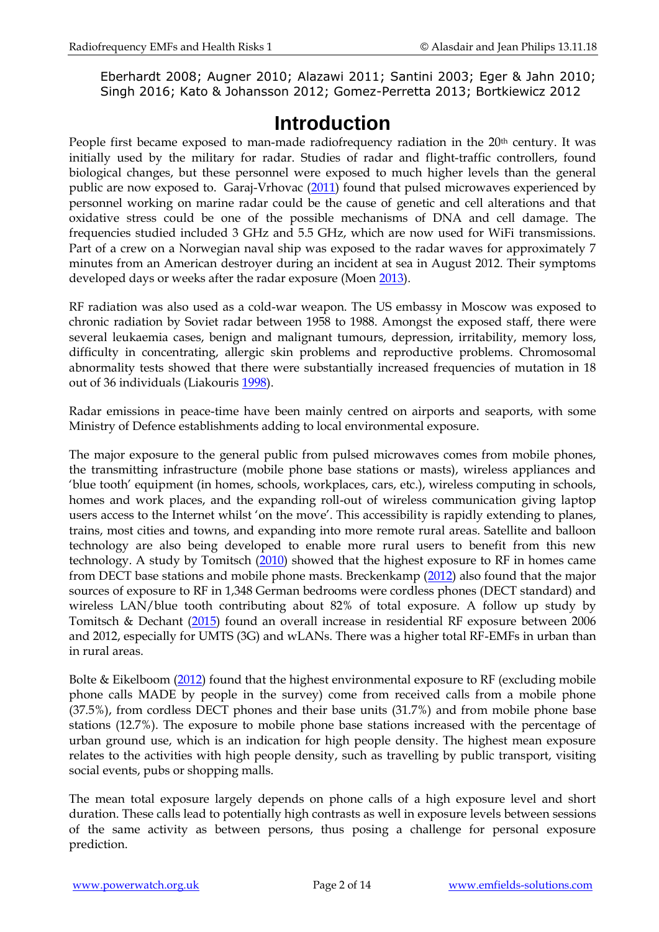Eberhardt 2008; Augner 2010; Alazawi 2011; Santini 2003; Eger & Jahn 2010; Singh 2016; Kato & Johansson 2012; Gomez-Perretta 2013; Bortkiewicz 2012

## **Introduction**

People first became exposed to man-made radiofrequency radiation in the 20<sup>th</sup> century. It was initially used by the military for radar. Studies of radar and flight-traffic controllers, found biological changes, but these personnel were exposed to much higher levels than the general public are now exposed to. Garaj-Vrhovac [\(2011\)](http://www.ncbi.nlm.nih.gov/pubmed/20833106) found that pulsed microwaves experienced by personnel working on marine radar could be the cause of genetic and cell alterations and that oxidative stress could be one of the possible mechanisms of DNA and cell damage. The frequencies studied included 3 GHz and 5.5 GHz, which are now used for WiFi transmissions. Part of a crew on a Norwegian naval ship was exposed to the radar waves for approximately 7 minutes from an American destroyer during an incident at sea in August 2012. Their symptoms developed days or weeks after the radar exposure (Moen [2013\)](http://www.ncbi.nlm.nih.gov/pubmed/24408137).

RF radiation was also used as a cold-war weapon. The US embassy in Moscow was exposed to chronic radiation by Soviet radar between 1958 to 1988. Amongst the exposed staff, there were several leukaemia cases, benign and malignant tumours, depression, irritability, memory loss, difficulty in concentrating, allergic skin problems and reproductive problems. Chromosomal abnormality tests showed that there were substantially increased frequencies of mutation in 18 out of 36 individuals (Liakouris [1998\)](http://www.ncbi.nlm.nih.gov/pubmed/9814721).

Radar emissions in peace-time have been mainly centred on airports and seaports, with some Ministry of Defence establishments adding to local environmental exposure.

The major exposure to the general public from pulsed microwaves comes from mobile phones, the transmitting infrastructure (mobile phone base stations or masts), wireless appliances and 'blue tooth' equipment (in homes, schools, workplaces, cars, etc.), wireless computing in schools, homes and work places, and the expanding roll-out of wireless communication giving laptop users access to the Internet whilst 'on the move'. This accessibility is rapidly extending to planes, trains, most cities and towns, and expanding into more remote rural areas. Satellite and balloon technology are also being developed to enable more rural users to benefit from this new technology. A study by Tomitsch [\(2010\)](http://www.ncbi.nlm.nih.gov/pubmed/19780092) showed that the highest exposure to RF in homes came from DECT base stations and mobile phone masts. Breckenkamp [\(2012\)](http://www.ncbi.nlm.nih.gov/pubmed/21964673) also found that the major sources of exposure to RF in 1,348 German bedrooms were cordless phones (DECT standard) and wireless LAN/blue tooth contributing about 82% of total exposure. A follow up study by Tomitsch & Dechant [\(2015\)](http://www.ncbi.nlm.nih.gov/pubmed/25421708) found an overall increase in residential RF exposure between 2006 and 2012, especially for UMTS (3G) and wLANs. There was a higher total RF-EMFs in urban than in rural areas.

Bolte & Eikelboom [\(2012\)](http://www.ncbi.nlm.nih.gov/pubmed/22906414) found that the highest environmental exposure to RF (excluding mobile phone calls MADE by people in the survey) come from received calls from a mobile phone (37.5%), from cordless DECT phones and their base units (31.7%) and from mobile phone base stations (12.7%). The exposure to mobile phone base stations increased with the percentage of urban ground use, which is an indication for high people density. The highest mean exposure relates to the activities with high people density, such as travelling by public transport, visiting social events, pubs or shopping malls.

The mean total exposure largely depends on phone calls of a high exposure level and short duration. These calls lead to potentially high contrasts as well in exposure levels between sessions of the same activity as between persons, thus posing a challenge for personal exposure prediction.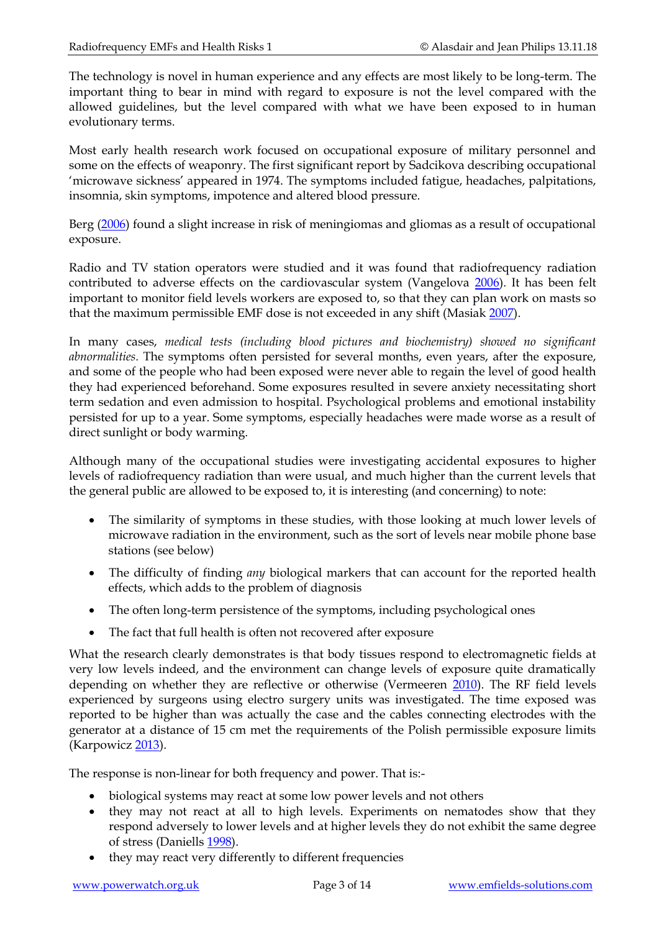The technology is novel in human experience and any effects are most likely to be long-term. The important thing to bear in mind with regard to exposure is not the level compared with the allowed guidelines, but the level compared with what we have been exposed to in human evolutionary terms.

Most early health research work focused on occupational exposure of military personnel and some on the effects of weaponry. The first significant report by Sadcikova describing occupational 'microwave sickness' appeared in 1974. The symptoms included fatigue, headaches, palpitations, insomnia, skin symptoms, impotence and altered blood pressure.

Berg [\(2006\)](http://www.ncbi.nlm.nih.gov/pubmed/16873421) found a slight increase in risk of meningiomas and gliomas as a result of occupational exposure.

Radio and TV station operators were studied and it was found that radiofrequency radiation contributed to adverse effects on the cardiovascular system (Vangelova [2006\)](http://www.ncbi.nlm.nih.gov/pubmed/16503299). It has been felt important to monitor field levels workers are exposed to, so that they can plan work on masts so that the maximum permissible EMF dose is not exceeded in any shift (Masiak [2007\)](http://www.ncbi.nlm.nih.gov/pubmed/18274092).

In many cases, *medical tests (including blood pictures and biochemistry) showed no significant abnormalities.* The symptoms often persisted for several months, even years, after the exposure, and some of the people who had been exposed were never able to regain the level of good health they had experienced beforehand. Some exposures resulted in severe anxiety necessitating short term sedation and even admission to hospital. Psychological problems and emotional instability persisted for up to a year. Some symptoms, especially headaches were made worse as a result of direct sunlight or body warming.

Although many of the occupational studies were investigating accidental exposures to higher levels of radiofrequency radiation than were usual, and much higher than the current levels that the general public are allowed to be exposed to, it is interesting (and concerning) to note:

- The similarity of symptoms in these studies, with those looking at much lower levels of microwave radiation in the environment, such as the sort of levels near mobile phone base stations (see below)
- The difficulty of finding *any* biological markers that can account for the reported health effects, which adds to the problem of diagnosis
- The often long-term persistence of the symptoms, including psychological ones
- The fact that full health is often not recovered after exposure

What the research clearly demonstrates is that body tissues respond to electromagnetic fields at very low levels indeed, and the environment can change levels of exposure quite dramatically depending on whether they are reflective or otherwise (Vermeeren [2010\)](http://www.ncbi.nlm.nih.gov/pubmed/20808028). The RF field levels experienced by surgeons using electro surgery units was investigated. The time exposed was reported to be higher than was actually the case and the cables connecting electrodes with the generator at a distance of 15 cm met the requirements of the Polish permissible exposure limits (Karpowicz [2013\)](http://www.ncbi.nlm.nih.gov/pubmed/24502113).

The response is non-linear for both frequency and power. That is:-

- biological systems may react at some low power levels and not others
- they may not react at all to high levels. Experiments on nematodes show that they respond adversely to lower levels and at higher levels they do not exhibit the same degree of stress (Daniells [1998\)](http://www.ncbi.nlm.nih.gov/sites/entrez?Db=pubmed&Cmd=ShowDetailView&TermToSearch=9635489&ordinalpos=4&itool=EntrezSystem2.PEntrez.Pubmed.Pubmed_ResultsPanel.Pubmed_RVDocSum).
- they may react very differently to different frequencies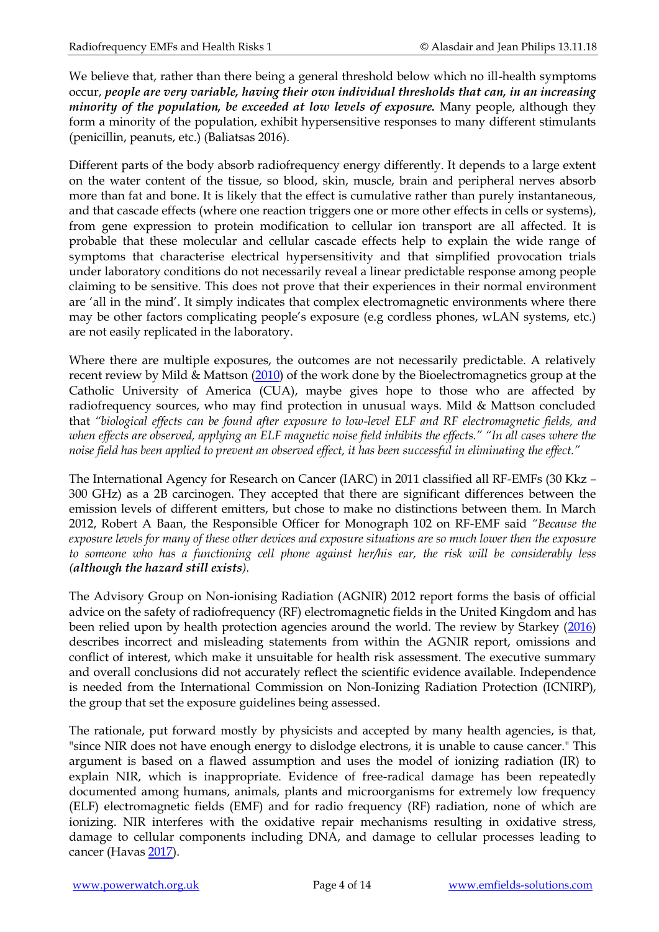We believe that, rather than there being a general threshold below which no ill-health symptoms occur, *people are very variable, having their own individual thresholds that can, in an increasing minority of the population, be exceeded at low levels of exposure.* Many people, although they form a minority of the population, exhibit hypersensitive responses to many different stimulants (penicillin, peanuts, etc.) (Baliatsas 2016).

Different parts of the body absorb radiofrequency energy differently. It depends to a large extent on the water content of the tissue, so blood, skin, muscle, brain and peripheral nerves absorb more than fat and bone. It is likely that the effect is cumulative rather than purely instantaneous, and that cascade effects (where one reaction triggers one or more other effects in cells or systems), from gene expression to protein modification to cellular ion transport are all affected. It is probable that these molecular and cellular cascade effects help to explain the wide range of symptoms that characterise electrical hypersensitivity and that simplified provocation trials under laboratory conditions do not necessarily reveal a linear predictable response among people claiming to be sensitive. This does not prove that their experiences in their normal environment are 'all in the mind'. It simply indicates that complex electromagnetic environments where there may be other factors complicating people's exposure (e.g cordless phones, wLAN systems, etc.) are not easily replicated in the laboratory.

Where there are multiple exposures, the outcomes are not necessarily predictable. A relatively recent review by Mild & Mattson [\(2010\)](http://www.ncbi.nlm.nih.gov/pubmed/20707642) of the work done by the Bioelectromagnetics group at the Catholic University of America (CUA), maybe gives hope to those who are affected by radiofrequency sources, who may find protection in unusual ways. Mild & Mattson concluded that *"biological effects can be found after exposure to low-level ELF and RF electromagnetic fields, and when effects are observed, applying an ELF magnetic noise field inhibits the effects." "In all cases where the noise field has been applied to prevent an observed effect, it has been successful in eliminating the effect."* 

The International Agency for Research on Cancer (IARC) in 2011 classified all RF-EMFs (30 Kkz – 300 GHz) as a 2B carcinogen. They accepted that there are significant differences between the emission levels of different emitters, but chose to make no distinctions between them. In March 2012, Robert A Baan, the Responsible Officer for Monograph 102 on RF-EMF said *"Because the exposure levels for many of these other devices and exposure situations are so much lower then the exposure to someone who has a functioning cell phone against her/his ear, the risk will be considerably less (although the hazard still exists).*

The Advisory Group on Non-ionising Radiation (AGNIR) 2012 report forms the basis of official advice on the safety of radiofrequency (RF) electromagnetic fields in the United Kingdom and has been relied upon by health protection agencies around the world. The review by Starkey [\(2016\)](https://www.ncbi.nlm.nih.gov/pubmed/27902455) describes incorrect and misleading statements from within the AGNIR report, omissions and conflict of interest, which make it unsuitable for health risk assessment. The executive summary and overall conclusions did not accurately reflect the scientific evidence available. Independence is needed from the International Commission on Non-Ionizing Radiation Protection (ICNIRP), the group that set the exposure guidelines being assessed.

The rationale, put forward mostly by physicists and accepted by many health agencies, is that, "since NIR does not have enough energy to dislodge electrons, it is unable to cause cancer." This argument is based on a flawed assumption and uses the model of ionizing radiation (IR) to explain NIR, which is inappropriate. Evidence of free-radical damage has been repeatedly documented among humans, animals, plants and microorganisms for extremely low frequency (ELF) electromagnetic fields (EMF) and for radio frequency (RF) radiation, none of which are ionizing. NIR interferes with the oxidative repair mechanisms resulting in oxidative stress, damage to cellular components including DNA, and damage to cellular processes leading to cancer (Havas [2017\)](https://www.ncbi.nlm.nih.gov/pubmed/27903411).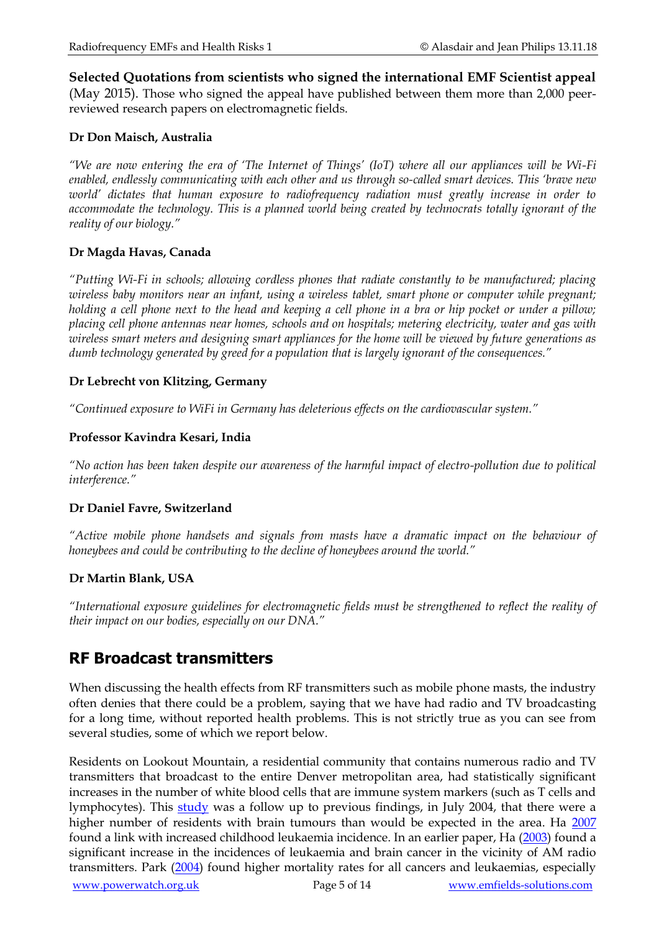**Selected Quotations from scientists who signed the international EMF Scientist appeal**

(May 2015). Those who signed the appeal have published between them more than 2,000 peerreviewed research papers on electromagnetic fields.

#### **Dr Don Maisch, Australia**

*"We are now entering the era of 'The Internet of Things' (IoT) where all our appliances will be Wi-Fi enabled, endlessly communicating with each other and us through so-called smart devices. This 'brave new world' dictates that human exposure to radiofrequency radiation must greatly increase in order to accommodate the technology. This is a planned world being created by technocrats totally ignorant of the reality of our biology."*

#### **Dr Magda Havas, Canada**

*"Putting Wi-Fi in schools; allowing cordless phones that radiate constantly to be manufactured; placing wireless baby monitors near an infant, using a wireless tablet, smart phone or computer while pregnant; holding a cell phone next to the head and keeping a cell phone in a bra or hip pocket or under a pillow; placing cell phone antennas near homes, schools and on hospitals; metering electricity, water and gas with wireless smart meters and designing smart appliances for the home will be viewed by future generations as dumb technology generated by greed for a population that is largely ignorant of the consequences."*

#### **Dr Lebrecht von Klitzing, Germany**

*"Continued exposure to WiFi in Germany has deleterious effects on the cardiovascular system."*

#### **Professor Kavindra Kesari, India**

*"No action has been taken despite our awareness of the harmful impact of electro-pollution due to political interference."*

#### **Dr Daniel Favre, Switzerland**

*"Active mobile phone handsets and signals from masts have a dramatic impact on the behaviour of honeybees and could be contributing to the decline of honeybees around the world."*

#### **Dr Martin Blank, USA**

*"International exposure guidelines for electromagnetic fields must be strengthened to reflect the reality of their impact on our bodies, especially on our DNA."*

### **RF Broadcast transmitters**

When discussing the health effects from RF transmitters such as mobile phone masts, the industry often denies that there could be a problem, saying that we have had radio and TV broadcasting for a long time, without reported health problems. This is not strictly true as you can see from several studies, some of which we report below.

Residents on Lookout Mountain, a residential community that contains numerous radio and TV transmitters that broadcast to the entire Denver metropolitan area, had statistically significant increases in the number of white blood cells that are immune system markers (such as T cells and lymphocytes). This [study](http://www.powerwatch.org.uk/news/20060928_non_thermal_lookout.pdf) was a follow up to previous findings, in July 2004, that there were a higher number of residents with brain tumours than would be expected in the area. Ha [2007](http://www.ncbi.nlm.nih.gov/sites/entrez?Db=pubmed&Cmd=ShowDetailView&TermToSearch=17556764) found a link with increased childhood leukaemia incidence. In an earlier paper, Ha [\(2003\)](http://www.ncbi.nlm.nih.gov/sites/entrez?Db=pubmed&Cmd=ShowDetailView&TermToSearch=15859510) found a significant increase in the incidences of leukaemia and brain cancer in the vicinity of AM radio transmitters. Park [\(2004\)](http://www.ncbi.nlm.nih.gov/sites/entrez?Db=pubmed&Cmd=ShowDetailView&TermToSearch=15338224) found higher mortality rates for all cancers and leukaemias, especially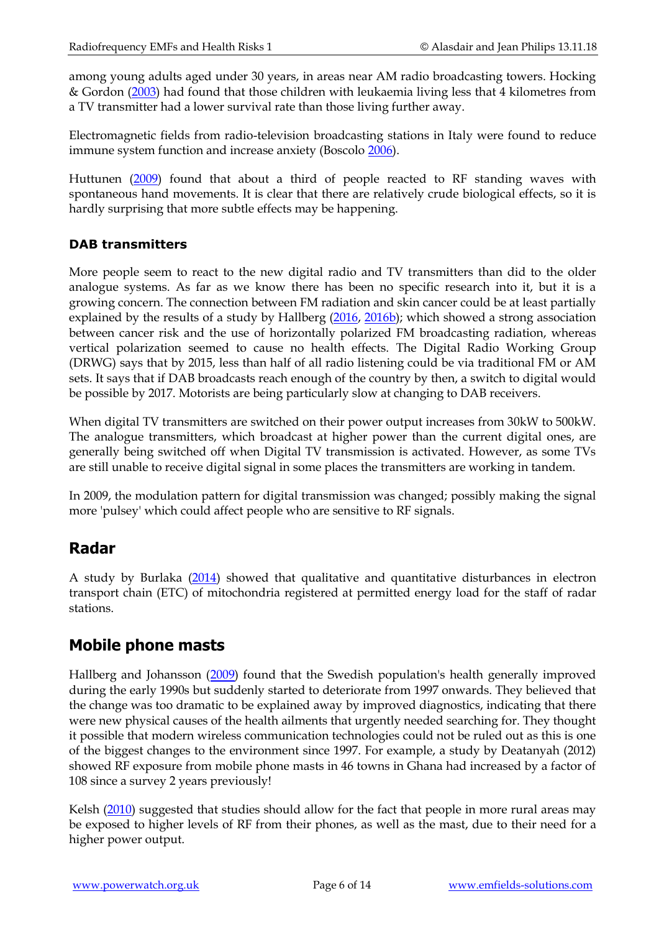among young adults aged under 30 years, in areas near AM radio broadcasting towers. Hocking & Gordon [\(2003\)](http://www.ncbi.nlm.nih.gov/pubmed/15369273) had found that those children with leukaemia living less that 4 kilometres from a TV transmitter had a lower survival rate than those living further away.

Electromagnetic fields from radio-television broadcasting stations in Italy were found to reduce immune system function and increase anxiety (Boscolo [2006\)](http://www.ncbi.nlm.nih.gov/pubmed/17291406).

Huttunen [\(2009\)](http://www.ncbi.nlm.nih.gov/pubmed/19268549) found that about a third of people reacted to RF standing waves with spontaneous hand movements. It is clear that there are relatively crude biological effects, so it is hardly surprising that more subtle effects may be happening.

#### **DAB transmitters**

More people seem to react to the new digital radio and TV transmitters than did to the older analogue systems. As far as we know there has been no specific research into it, but it is a growing concern. The connection between FM radiation and skin cancer could be at least partially explained by the results of a study by Hallberg [\(2016,](http://www.ncbi.nlm.nih.gov/pubmed/26954356) [2016b\)](https://www.ncbi.nlm.nih.gov/pubmed/27355094); which showed a strong association between cancer risk and the use of horizontally polarized FM broadcasting radiation, whereas vertical polarization seemed to cause no health effects. The Digital Radio Working Group (DRWG) says that by 2015, less than half of all radio listening could be via traditional FM or AM sets. It says that if DAB broadcasts reach enough of the country by then, a switch to digital would be possible by 2017. Motorists are being particularly slow at changing to DAB receivers.

When digital TV transmitters are switched on their power output increases from 30kW to 500kW. The analogue transmitters, which broadcast at higher power than the current digital ones, are generally being switched off when Digital TV transmission is activated. However, as some TVs are still unable to receive digital signal in some places the transmitters are working in tandem.

In 2009, the modulation pattern for digital transmission was changed; possibly making the signal more 'pulsey' which could affect people who are sensitive to RF signals.

### **Radar**

A study by Burlaka [\(2014\)](https://www.ncbi.nlm.nih.gov/pubmed/24597749) showed that qualitative and quantitative disturbances in electron transport chain (ETC) of mitochondria registered at permitted energy load for the staff of radar stations.

### **Mobile phone masts**

Hallberg and Johansson [\(2009\)](http://www.ncbi.nlm.nih.gov/pubmed/19211231) found that the Swedish population's health generally improved during the early 1990s but suddenly started to deteriorate from 1997 onwards. They believed that the change was too dramatic to be explained away by improved diagnostics, indicating that there were new physical causes of the health ailments that urgently needed searching for. They thought it possible that modern wireless communication technologies could not be ruled out as this is one of the biggest changes to the environment since 1997. For example, a study by Deatanyah (2012) showed RF exposure from mobile phone masts in 46 towns in Ghana had increased by a factor of 108 since a survey 2 years previously!

Kelsh (2010) suggested that studies should allow for the fact that people in more rural areas may be exposed to higher levels of RF from their phones, as well as the mast, due to their need for a higher power output.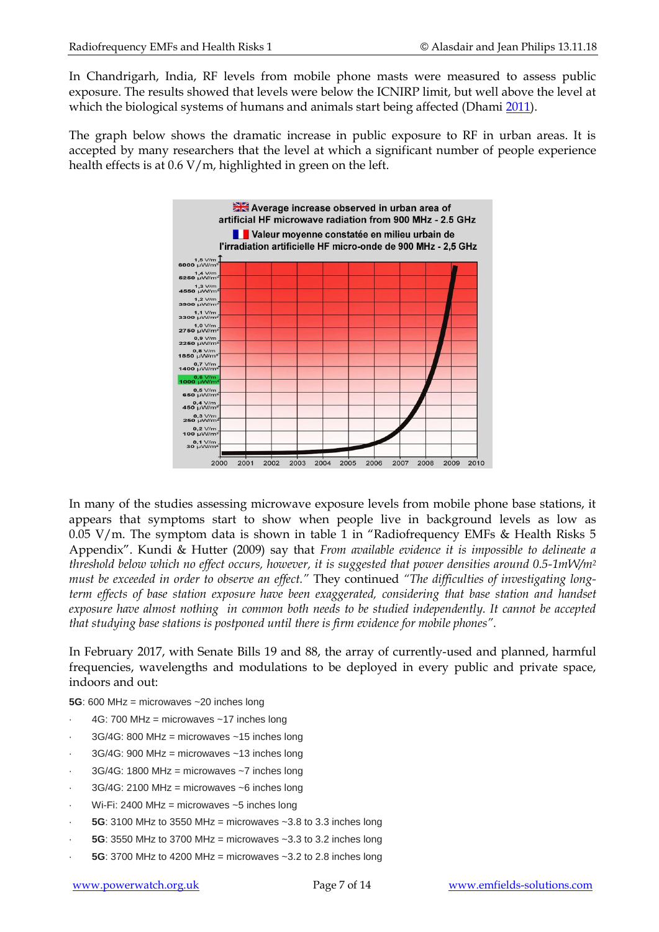In Chandrigarh, India, RF levels from mobile phone masts were measured to assess public exposure. The results showed that levels were below the ICNIRP limit, but well above the level at which the biological systems of humans and animals start being affected (Dhami [2011\)](http://www.ncbi.nlm.nih.gov/pubmed/22083401).

The graph below shows the dramatic increase in public exposure to RF in urban areas. It is accepted by many researchers that the level at which a significant number of people experience health effects is at 0.6 V/m, highlighted in green on the left.



In many of the studies assessing microwave exposure levels from mobile phone base stations, it appears that symptoms start to show when people live in background levels as low as 0.05 V/m. The symptom data is shown in table 1 in "Radiofrequency EMFs & Health Risks 5 Appendix". Kundi & Hutter (2009) say that *From available evidence it is impossible to delineate a threshold below which no effect occurs, however, it is suggested that power densities around 0.5-1mW/m<sup>2</sup> must be exceeded in order to observe an effect."* They continued *"The difficulties of investigating longterm effects of base station exposure have been exaggerated, considering that base station and handset exposure have almost nothing in common both needs to be studied independently. It cannot be accepted that studying base stations is postponed until there is firm evidence for mobile phones".*

In February 2017, with Senate Bills 19 and 88, the array of currently-used and planned, harmful frequencies, wavelengths and modulations to be deployed in every public and private space, indoors and out:

**5G**: 600 MHz = microwaves ~20 inches long

- 4G: 700 MHz = microwaves  $~17$  inches long
- $3G/4G$ : 800 MHz = microwaves ~15 inches long
- $3G/4G$ : 900 MHz = microwaves ~13 inches long
- $3G/4G$ : 1800 MHz = microwaves  $\sim$ 7 inches long
- $3G/4G$ : 2100 MHz = microwaves ~6 inches long
- Wi-Fi: 2400 MHz = microwaves  $~5$  inches long
- **5G**: 3100 MHz to 3550 MHz = microwaves  $\sim$  3.8 to 3.3 inches long
- **5G**: 3550 MHz to 3700 MHz = microwaves  $\sim$ 3.3 to 3.2 inches long
- **5G**: 3700 MHz to 4200 MHz = microwaves  $\sim$  3.2 to 2.8 inches long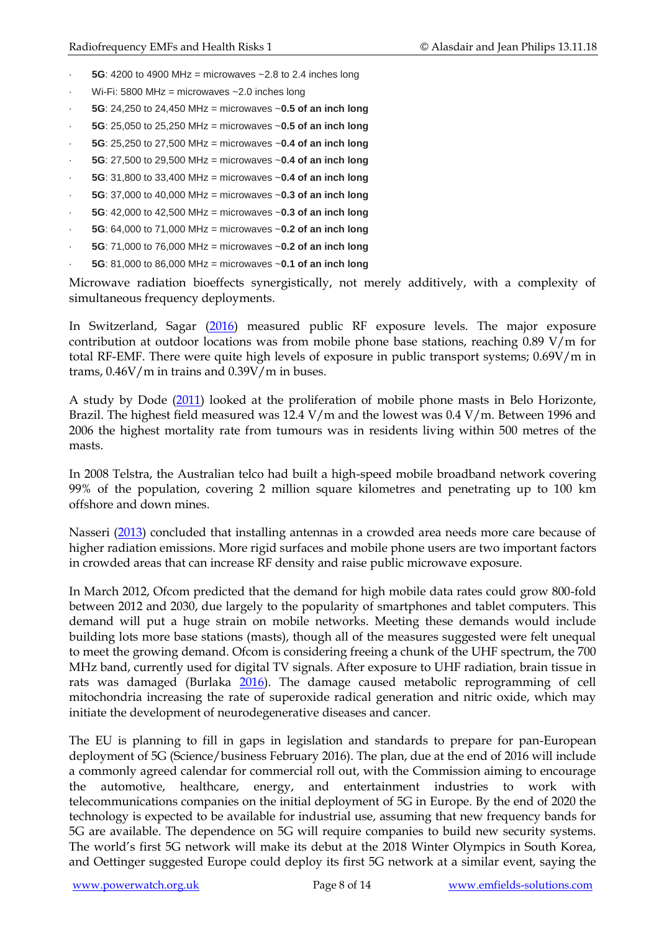- **5G**: 4200 to 4900 MHz = microwaves  $\sim$  2.8 to 2.4 inches long
- Wi-Fi: 5800 MHz = microwaves  $\sim$  2.0 inches long
- · **5G**: 24,250 to 24,450 MHz = microwaves ~**0.5 of an inch long**
- · **5G**: 25,050 to 25,250 MHz = microwaves ~**0.5 of an inch long**
- · **5G**: 25,250 to 27,500 MHz = microwaves ~**0.4 of an inch long**
- · **5G**: 27,500 to 29,500 MHz = microwaves ~**0.4 of an inch long**
- · **5G**: 31,800 to 33,400 MHz = microwaves ~**0.4 of an inch long**
- · **5G**: 37,000 to 40,000 MHz = microwaves ~**0.3 of an inch long**
- · **5G**: 42,000 to 42,500 MHz = microwaves ~**0.3 of an inch long**
- · **5G**: 64,000 to 71,000 MHz = microwaves ~**0.2 of an inch long**
- · **5G**: 71,000 to 76,000 MHz = microwaves ~**0.2 of an inch long**
- · **5G**: 81,000 to 86,000 MHz = microwaves ~**0.1 of an inch long**

Microwave radiation bioeffects synergistically, not merely additively, with a complexity of simultaneous frequency deployments.

In Switzerland, Sagar [\(2016\)](https://www.ncbi.nlm.nih.gov/pubmed/27336233) measured public RF exposure levels. The major exposure contribution at outdoor locations was from mobile phone base stations, reaching 0.89 V/m for total RF-EMF. There were quite high levels of exposure in public transport systems; 0.69V/m in trams, 0.46V/m in trains and 0.39V/m in buses.

A study by Dode [\(2011\)](http://www.ncbi.nlm.nih.gov/pubmed/21741680) looked at the proliferation of mobile phone masts in Belo Horizonte, Brazil. The highest field measured was 12.4 V/m and the lowest was 0.4 V/m. Between 1996 and 2006 the highest mortality rate from tumours was in residents living within 500 metres of the masts.

In 2008 Telstra, the Australian telco had built a high-speed mobile broadband network covering 99% of the population, covering 2 million square kilometres and penetrating up to 100 km offshore and down mines.

Nasseri [\(2013\)](http://www.ncbi.nlm.nih.gov/pubmed/24359870) concluded that installing antennas in a crowded area needs more care because of higher radiation emissions. More rigid surfaces and mobile phone users are two important factors in crowded areas that can increase RF density and raise public microwave exposure.

In March 2012, Ofcom predicted that the demand for high mobile data rates could grow 800-fold between 2012 and 2030, due largely to the popularity of smartphones and tablet computers. This demand will put a huge strain on mobile networks. Meeting these demands would include building lots more base stations (masts), though all of the measures suggested were felt unequal to meet the growing demand. Ofcom is considering freeing a chunk of the UHF spectrum, the 700 MHz band, currently used for digital TV signals. After exposure to UHF radiation, brain tissue in rats was damaged (Burlaka [2016\)](https://www.ncbi.nlm.nih.gov/pubmed/28230822). The damage caused metabolic reprogramming of cell mitochondria increasing the rate of superoxide radical generation and nitric oxide, which may initiate the development of neurodegenerative diseases and cancer.

The EU is planning to fill in gaps in legislation and standards to prepare for pan-European deployment of 5G (Science/business February 2016). The plan, due at the end of 2016 will include a commonly agreed calendar for commercial roll out, with the Commission aiming to encourage the automotive, healthcare, energy, and entertainment industries to work with telecommunications companies on the initial deployment of 5G in Europe. By the end of 2020 the technology is expected to be available for industrial use, assuming that new frequency bands for 5G are available. The dependence on 5G will require companies to build new security systems. The world's first 5G network will make its debut at the 2018 Winter Olympics in South Korea, and Oettinger suggested Europe could deploy its first 5G network at a similar event, saying the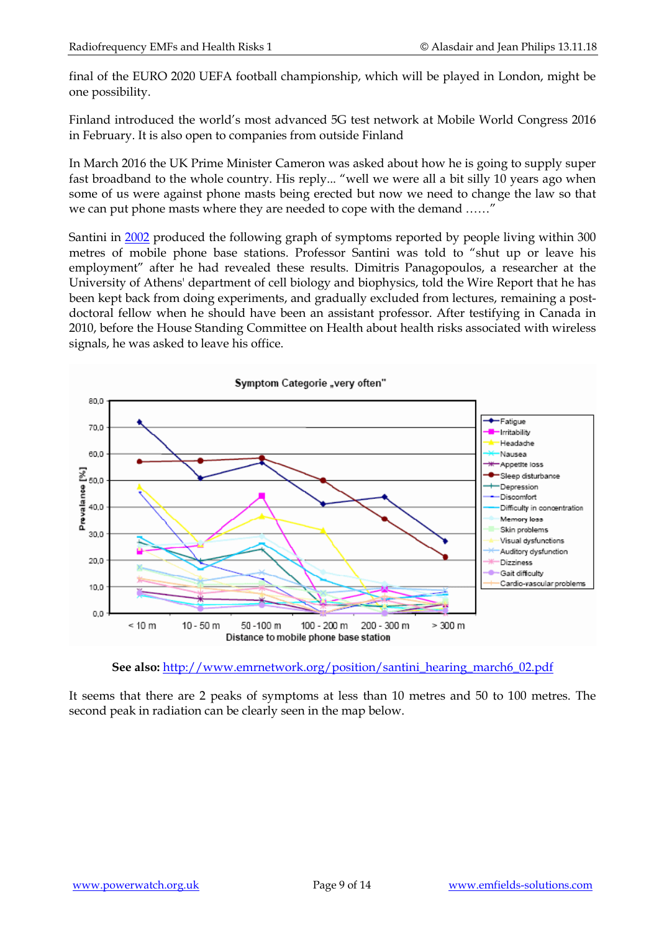final of the EURO 2020 UEFA football championship, which will be played in London, might be one possibility.

Finland introduced the world's most advanced 5G test network at Mobile World Congress 2016 in February. It is also open to companies from outside Finland

In March 2016 the UK Prime Minister Cameron was asked about how he is going to supply super fast broadband to the whole country. His reply... "well we were all a bit silly 10 years ago when some of us were against phone masts being erected but now we need to change the law so that we can put phone masts where they are needed to cope with the demand ……"

Santini in [2002](http://www.ncbi.nlm.nih.gov/sites/entrez?Db=pubmed&Cmd=ShowDetailView&TermToSearch=12168254&ordinalpos=2&itool=EntrezSystem2.PEntrez.Pubmed.Pubmed_ResultsPanel.Pubmed_RVDocSum) produced the following graph of symptoms reported by people living within 300 metres of mobile phone base stations. Professor Santini was told to "shut up or leave his employment" after he had revealed these results. Dimitris Panagopoulos, a researcher at the University of Athens' department of cell biology and biophysics, told the Wire Report that he has been kept back from doing experiments, and gradually excluded from lectures, remaining a postdoctoral fellow when he should have been an assistant professor. After testifying in Canada in 2010, before the House Standing Committee on Health about health risks associated with wireless signals, he was asked to leave his office.



**See also:** [http://www.emrnetwork.org/position/santini\\_hearing\\_march6\\_02.pdf](http://www.emrnetwork.org/position/santini_hearing_march6_02.pdf)

It seems that there are 2 peaks of symptoms at less than 10 metres and 50 to 100 metres. The second peak in radiation can be clearly seen in the map below.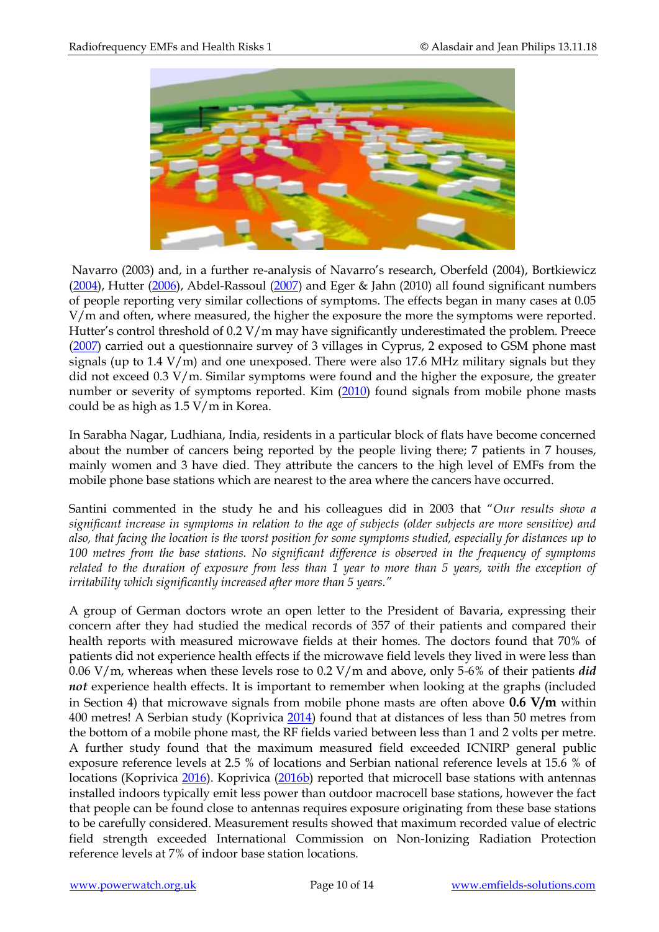

Navarro (2003) and, in a further re-analysis of Navarro's research, Oberfeld (2004), Bortkiewicz [\(2004\)](http://www.ncbi.nlm.nih.gov/sites/entrez?Db=pubmed&Cmd=ShowDetailView&TermToSearch=15620045&ordinalpos=4&itool=EntrezSystem2.PEntrez.Pubmed.Pubmed_ResultsPanel.Pubmed_RVDocSum), Hutter [\(2006\)](http://www.ncbi.nlm.nih.gov/sites/entrez?Db=pubmed&Cmd=ShowDetailView&TermToSearch=16621850&ordinalpos=2&itool=EntrezSystem2.PEntrez.Pubmed.Pubmed_ResultsPanel.Pubmed_RVDocSum), Abdel-Rassoul [\(2007\)](http://www.ncbi.nlm.nih.gov/sites/entrez?Db=pubmed&Cmd=ShowDetailView&TermToSearch=16962663&ordinalpos=3&itool=EntrezSystem2.PEntrez.Pubmed.Pubmed_ResultsPanel.Pubmed_RVDocSum) and Eger & Jahn (2010) all found significant numbers of people reporting very similar collections of symptoms. The effects began in many cases at 0.05 V/m and often, where measured, the higher the exposure the more the symptoms were reported. Hutter's control threshold of 0.2 V/m may have significantly underestimated the problem. Preece [\(2007\)](http://www.ncbi.nlm.nih.gov/pubmed/17259164) carried out a questionnaire survey of 3 villages in Cyprus, 2 exposed to GSM phone mast signals (up to  $1.4$  V/m) and one unexposed. There were also  $17.6$  MHz military signals but they did not exceed 0.3 V/m. Similar symptoms were found and the higher the exposure, the greater number or severity of symptoms reported. Kim [\(2010\)](http://www.ncbi.nlm.nih.gov/pubmed/20564176) found signals from mobile phone masts could be as high as 1.5 V/m in Korea.

In Sarabha Nagar, Ludhiana, India, residents in a particular block of flats have become concerned about the number of cancers being reported by the people living there; 7 patients in 7 houses, mainly women and 3 have died. They attribute the cancers to the high level of EMFs from the mobile phone base stations which are nearest to the area where the cancers have occurred.

Santini commented in the study he and his colleagues did in 2003 that "*Our results show a significant increase in symptoms in relation to the age of subjects (older subjects are more sensitive) and also, that facing the location is the worst position for some symptoms studied, especially for distances up to 100 metres from the base stations. No significant difference is observed in the frequency of symptoms related to the duration of exposure from less than 1 year to more than 5 years, with the exception of irritability which significantly increased after more than 5 years."*

A group of German doctors wrote an open letter to the President of Bavaria, expressing their concern after they had studied the medical records of 357 of their patients and compared their health reports with measured microwave fields at their homes. The doctors found that 70% of patients did not experience health effects if the microwave field levels they lived in were less than 0.06 V/m, whereas when these levels rose to 0.2 V/m and above, only 5-6% of their patients *did not* experience health effects. It is important to remember when looking at the graphs (included in Section 4) that microwave signals from mobile phone masts are often above **0.6 V/m** within 400 metres! A Serbian study (Koprivica [2014\)](http://www.ncbi.nlm.nih.gov/pubmed/24056584) found that at distances of less than 50 metres from the bottom of a mobile phone mast, the RF fields varied between less than 1 and 2 volts per metre. A further study found that the maximum measured field exceeded ICNIRP general public exposure reference levels at 2.5 % of locations and Serbian national reference levels at 15.6 % of locations (Koprivica [2016\)](http://www.ncbi.nlm.nih.gov/pubmed/26231558). Koprivica [\(2016b\)](http://www.ncbi.nlm.nih.gov/pubmed/26661841) reported that microcell base stations with antennas installed indoors typically emit less power than outdoor macrocell base stations, however the fact that people can be found close to antennas requires exposure originating from these base stations to be carefully considered. Measurement results showed that maximum recorded value of electric field strength exceeded International Commission on Non-Ionizing Radiation Protection reference levels at 7% of indoor base station locations.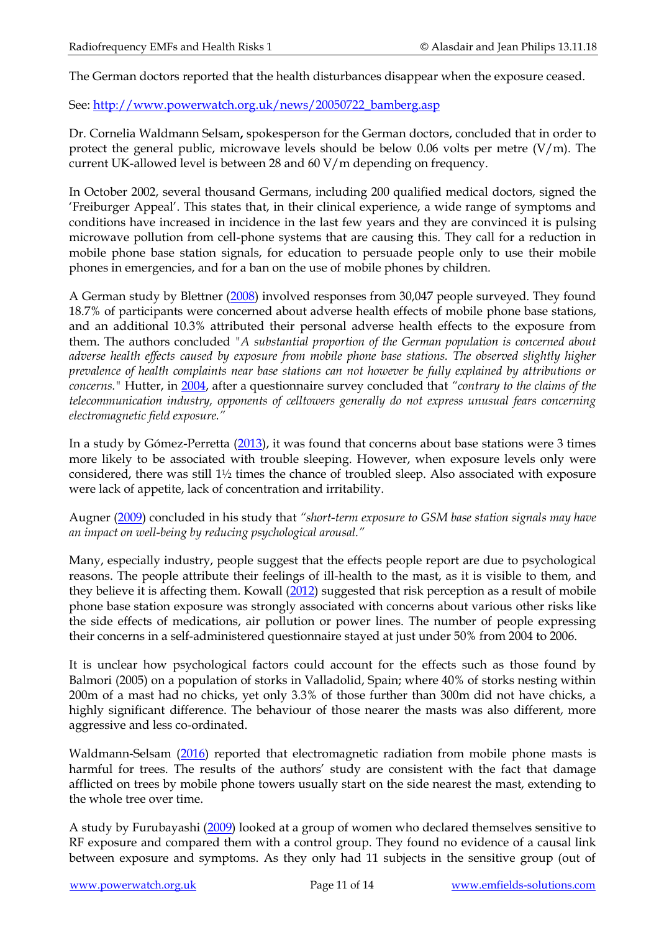The German doctors reported that the health disturbances disappear when the exposure ceased.

See: [http://www.powerwatch.org.uk/news/20050722\\_bamberg.asp](http://www.powerwatch.org.uk/news/20050722_bamberg.asp)

Dr. Cornelia Waldmann Selsam**,** spokesperson for the German doctors, concluded that in order to protect the general public, microwave levels should be below 0.06 volts per metre  $(V/m)$ . The current UK-allowed level is between 28 and 60 V/m depending on frequency.

In October 2002, several thousand Germans, including 200 qualified medical doctors, signed the 'Freiburger Appeal'. This states that, in their clinical experience, a wide range of symptoms and conditions have increased in incidence in the last few years and they are convinced it is pulsing microwave pollution from cell-phone systems that are causing this. They call for a reduction in mobile phone base station signals, for education to persuade people only to use their mobile phones in emergencies, and for a ban on the use of mobile phones by children.

A German study by Blettner [\(2008\)](http://www.ncbi.nlm.nih.gov/pubmed/19017702) involved responses from 30,047 people surveyed. They found 18.7% of participants were concerned about adverse health effects of mobile phone base stations, and an additional 10.3% attributed their personal adverse health effects to the exposure from them. The authors concluded *"A substantial proportion of the German population is concerned about adverse health effects caused by exposure from mobile phone base stations. The observed slightly higher prevalence of health complaints near base stations can not however be fully explained by attributions or concerns."* Hutter, in [2004,](http://www.ncbi.nlm.nih.gov/pubmed/15040130) after a questionnaire survey concluded that *"contrary to the claims of the telecommunication industry, opponents of celltowers generally do not express unusual fears concerning electromagnetic field exposure."* 

In a study by Gómez-Perretta [\(2013\)](http://www.ncbi.nlm.nih.gov/pubmed/24381254), it was found that concerns about base stations were 3 times more likely to be associated with trouble sleeping. However, when exposure levels only were considered, there was still 1½ times the chance of troubled sleep. Also associated with exposure were lack of appetite, lack of concentration and irritability.

Augner [\(2009\)](http://www.ncbi.nlm.nih.gov/pubmed/18803247) concluded in his study that *"short-term exposure to GSM base station signals may have an impact on well-being by reducing psychological arousal."*

Many, especially industry, people suggest that the effects people report are due to psychological reasons. The people attribute their feelings of ill-health to the mast, as it is visible to them, and they believe it is affecting them. Kowall [\(2012\)](http://www.ncbi.nlm.nih.gov/pubmed/21987029) suggested that risk perception as a result of mobile phone base station exposure was strongly associated with concerns about various other risks like the side effects of medications, air pollution or power lines. The number of people expressing their concerns in a self-administered questionnaire stayed at just under 50% from 2004 to 2006.

It is unclear how psychological factors could account for the effects such as those found by Balmori (2005) on a population of storks in Valladolid, Spain; where 40% of storks nesting within 200m of a mast had no chicks, yet only 3.3% of those further than 300m did not have chicks, a highly significant difference. The behaviour of those nearer the masts was also different, more aggressive and less co-ordinated.

Waldmann-Selsam [\(2016\)](https://www.ncbi.nlm.nih.gov/pubmed/27552133) reported that electromagnetic radiation from mobile phone masts is harmful for trees. The results of the authors' study are consistent with the fact that damage afflicted on trees by mobile phone towers usually start on the side nearest the mast, extending to the whole tree over time.

A study by Furubayashi [\(2009\)](http://www.ncbi.nlm.nih.gov/pubmed/18780296?ordinalpos=2&itool=EntrezSystem2.PEntrez.Pubmed.Pubmed_ResultsPanel.Pubmed_DefaultReportPanel.Pubmed_RVDocSum) looked at a group of women who declared themselves sensitive to RF exposure and compared them with a control group. They found no evidence of a causal link between exposure and symptoms. As they only had 11 subjects in the sensitive group (out of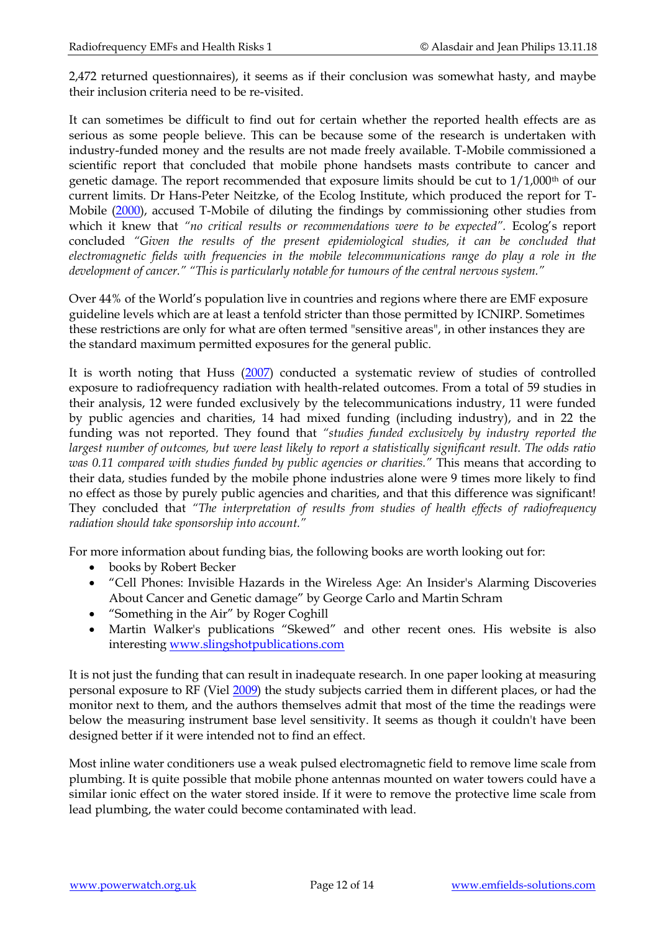2,472 returned questionnaires), it seems as if their conclusion was somewhat hasty, and maybe their inclusion criteria need to be re-visited.

It can sometimes be difficult to find out for certain whether the reported health effects are as serious as some people believe. This can be because some of the research is undertaken with industry-funded money and the results are not made freely available. T-Mobile commissioned a scientific report that concluded that mobile phone handsets masts contribute to cancer and genetic damage. The report recommended that exposure limits should be cut to 1/1,000<sup>th</sup> of our current limits. Dr Hans-Peter Neitzke, of the Ecolog Institute, which produced the report for T-Mobile [\(2000\)](http://bemri.org/archive/hese-uk/en/niemr/nietzke.php), accused T-Mobile of diluting the findings by commissioning other studies from which it knew that *"no critical results or recommendations were to be expected"*. Ecolog's report concluded *"Given the results of the present epidemiological studies, it can be concluded that electromagnetic fields with frequencies in the mobile telecommunications range do play a role in the development of cancer." "This is particularly notable for tumours of the central nervous system."*

Over 44% of the World's population live in countries and regions where there are EMF exposure guideline levels which are at least a tenfold stricter than those permitted by ICNIRP. Sometimes these restrictions are only for what are often termed "sensitive areas", in other instances they are the standard maximum permitted exposures for the general public.

It is worth noting that Huss [\(2007\)](http://ehp.niehs.nih.gov/members/2006/9149/9149.html) conducted a systematic review of studies of controlled exposure to radiofrequency radiation with health-related outcomes. From a total of 59 studies in their analysis, 12 were funded exclusively by the telecommunications industry, 11 were funded by public agencies and charities, 14 had mixed funding (including industry), and in 22 the funding was not reported. They found that *"studies funded exclusively by industry reported the largest number of outcomes, but were least likely to report a statistically significant result. The odds ratio was 0.11 compared with studies funded by public agencies or charities."* This means that according to their data, studies funded by the mobile phone industries alone were 9 times more likely to find no effect as those by purely public agencies and charities, and that this difference was significant! They concluded that "The interpretation of results from studies of health effects of radiofrequency *radiation should take sponsorship into account."*

For more information about funding bias, the following books are worth looking out for:

- books by Robert Becker
- "Cell Phones: Invisible Hazards in the Wireless Age: An Insider's Alarming Discoveries About Cancer and Genetic damage" by George Carlo and Martin Schram
- "Something in the Air" by Roger Coghill
- Martin Walker's publications "Skewed" and other recent ones. His website is also interesting [www.slingshotpublications.com](http://www.slingshotpublications.com/)

It is not just the funding that can result in inadequate research. In one paper looking at measuring personal exposure to RF (Viel [2009\)](http://www.ncbi.nlm.nih.gov/pubmed/19336431) the study subjects carried them in different places, or had the monitor next to them, and the authors themselves admit that most of the time the readings were below the measuring instrument base level sensitivity. It seems as though it couldn't have been designed better if it were intended not to find an effect.

Most inline water conditioners use a weak pulsed electromagnetic field to remove lime scale from plumbing. It is quite possible that mobile phone antennas mounted on water towers could have a similar ionic effect on the water stored inside. If it were to remove the protective lime scale from lead plumbing, the water could become contaminated with lead.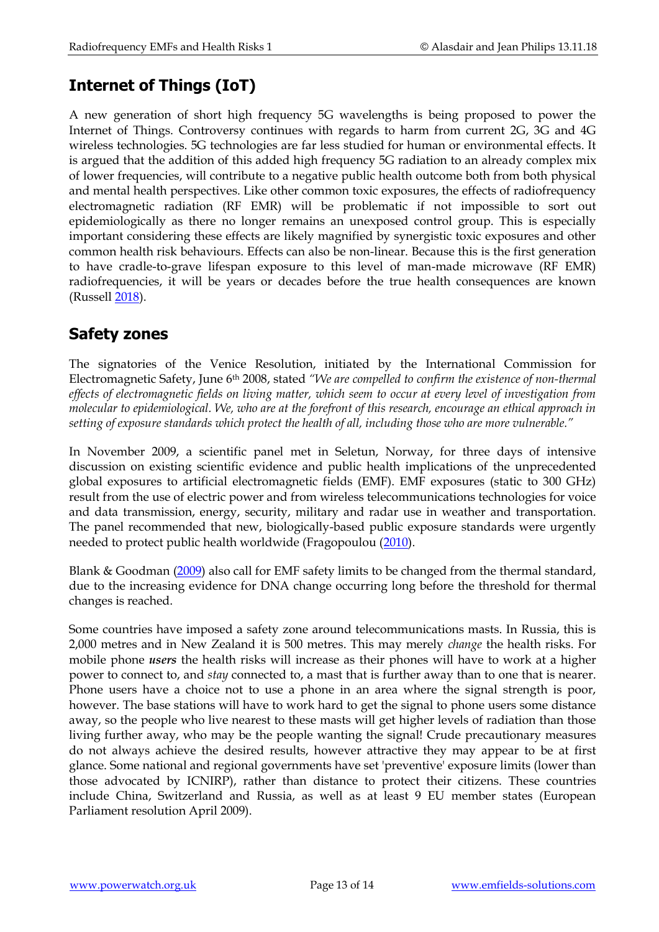## **Internet of Things (IoT)**

A new generation of short high frequency 5G wavelengths is being proposed to power the Internet of Things. Controversy continues with regards to harm from current 2G, 3G and 4G wireless technologies. 5G technologies are far less studied for human or environmental effects. It is argued that the addition of this added high frequency 5G radiation to an already complex mix of lower frequencies, will contribute to a negative public health outcome both from both physical and mental health perspectives. Like other common toxic exposures, the effects of radiofrequency electromagnetic radiation (RF EMR) will be problematic if not impossible to sort out epidemiologically as there no longer remains an unexposed control group. This is especially important considering these effects are likely magnified by synergistic toxic exposures and other common health risk behaviours. Effects can also be non-linear. Because this is the first generation to have cradle-to-grave lifespan exposure to this level of man-made microwave (RF EMR) radiofrequencies, it will be years or decades before the true health consequences are known (Russel[l 2018\)](https://www.ncbi.nlm.nih.gov/pubmed/29655646).

## **Safety zones**

The signatories of the Venice Resolution, initiated by the International Commission for Electromagnetic Safety, June 6th 2008, stated *"We are compelled to confirm the existence of non-thermal effects of electromagnetic fields on living matter, which seem to occur at every level of investigation from molecular to epidemiological. We, who are at the forefront of this research, encourage an ethical approach in setting of exposure standards which protect the health of all, including those who are more vulnerable."*

In November 2009, a scientific panel met in Seletun, Norway, for three days of intensive discussion on existing scientific evidence and public health implications of the unprecedented global exposures to artificial electromagnetic fields (EMF). EMF exposures (static to 300 GHz) result from the use of electric power and from wireless telecommunications technologies for voice and data transmission, energy, security, military and radar use in weather and transportation. The panel recommended that new, biologically-based public exposure standards were urgently needed to protect public health worldwide (Fragopoulou [\(2010\)](http://www.ncbi.nlm.nih.gov/pubmed/21268443).

Blank & Goodman [\(2009\)](http://www.ncbi.nlm.nih.gov/pubmed/19268550) also call for EMF safety limits to be changed from the thermal standard, due to the increasing evidence for DNA change occurring long before the threshold for thermal changes is reached.

Some countries have imposed a safety zone around telecommunications masts. In Russia, this is 2,000 metres and in New Zealand it is 500 metres. This may merely *change* the health risks. For mobile phone *users* the health risks will increase as their phones will have to work at a higher power to connect to, and *stay* connected to, a mast that is further away than to one that is nearer. Phone users have a choice not to use a phone in an area where the signal strength is poor, however. The base stations will have to work hard to get the signal to phone users some distance away, so the people who live nearest to these masts will get higher levels of radiation than those living further away, who may be the people wanting the signal! Crude precautionary measures do not always achieve the desired results, however attractive they may appear to be at first glance. Some national and regional governments have set 'preventive' exposure limits (lower than those advocated by ICNIRP), rather than distance to protect their citizens. These countries include China, Switzerland and Russia, as well as at least 9 EU member states (European Parliament resolution April 2009).